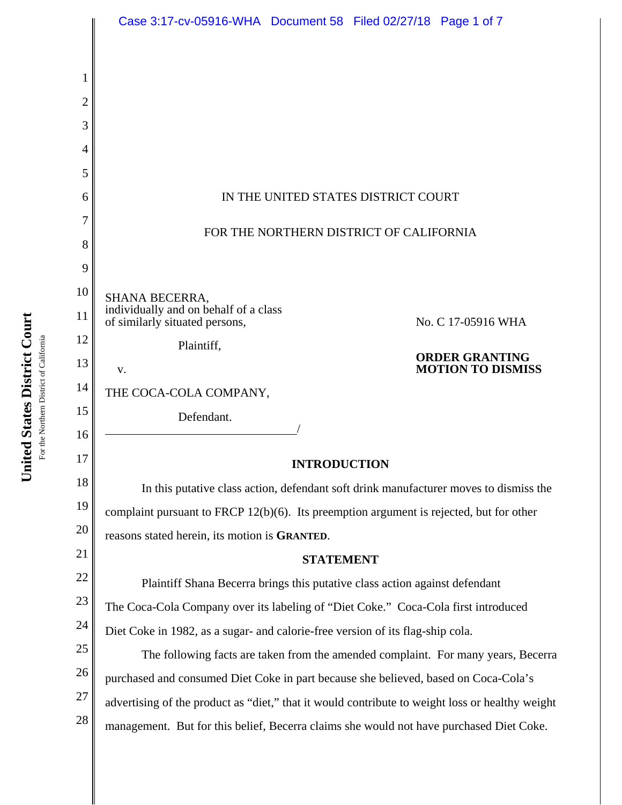| Case 3:17-cv-05916-WHA  Document 58  Filed 02/27/18  Page 1 of 7                                |
|-------------------------------------------------------------------------------------------------|
|                                                                                                 |
|                                                                                                 |
|                                                                                                 |
|                                                                                                 |
|                                                                                                 |
|                                                                                                 |
| IN THE UNITED STATES DISTRICT COURT                                                             |
|                                                                                                 |
| FOR THE NORTHERN DISTRICT OF CALIFORNIA                                                         |
|                                                                                                 |
| <b>SHANA BECERRA,</b>                                                                           |
| individually and on behalf of a class<br>of similarly situated persons,<br>No. C 17-05916 WHA   |
| Plaintiff,                                                                                      |
| <b>ORDER GRANTING</b><br><b>MOTION TO DISMISS</b><br>V.                                         |
| THE COCA-COLA COMPANY,                                                                          |
| Defendant.                                                                                      |
|                                                                                                 |
| <b>INTRODUCTION</b>                                                                             |
| In this putative class action, defendant soft drink manufacturer moves to dismiss the           |
| complaint pursuant to FRCP 12(b)(6). Its preemption argument is rejected, but for other         |
| reasons stated herein, its motion is GRANTED.                                                   |
| <b>STATEMENT</b>                                                                                |
| Plaintiff Shana Becerra brings this putative class action against defendant                     |
| The Coca-Cola Company over its labeling of "Diet Coke." Coca-Cola first introduced              |
| Diet Coke in 1982, as a sugar- and calorie-free version of its flag-ship cola.                  |
| The following facts are taken from the amended complaint. For many years, Becerra               |
| purchased and consumed Diet Coke in part because she believed, based on Coca-Cola's             |
| advertising of the product as "diet," that it would contribute to weight loss or healthy weight |
| management. But for this belief, Becerra claims she would not have purchased Diet Coke.         |
|                                                                                                 |

United States District Court **United States District Court** For the Northern District of California For the Northern District of California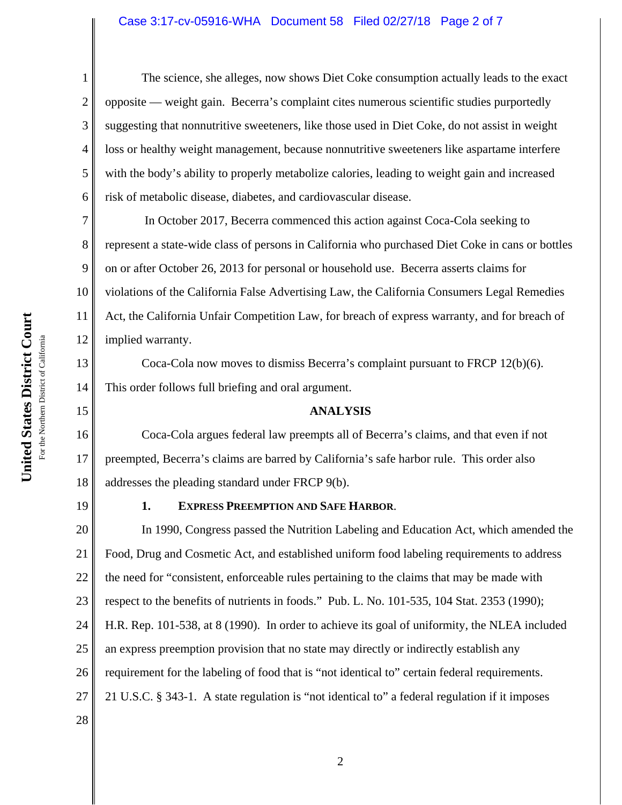# Case 3:17-cv-05916-WHA Document 58 Filed 02/27/18 Page 2 of 7

The science, she alleges, now shows Diet Coke consumption actually leads to the exact opposite — weight gain. Becerra's complaint cites numerous scientific studies purportedly suggesting that nonnutritive sweeteners, like those used in Diet Coke, do not assist in weight loss or healthy weight management, because nonnutritive sweeteners like aspartame interfere with the body's ability to properly metabolize calories, leading to weight gain and increased risk of metabolic disease, diabetes, and cardiovascular disease.

7 8 9 10 11 12 In October 2017, Becerra commenced this action against Coca-Cola seeking to represent a state-wide class of persons in California who purchased Diet Coke in cans or bottles on or after October 26, 2013 for personal or household use. Becerra asserts claims for violations of the California False Advertising Law, the California Consumers Legal Remedies Act, the California Unfair Competition Law, for breach of express warranty, and for breach of implied warranty.

Coca-Cola now moves to dismiss Becerra's complaint pursuant to FRCP 12(b)(6). This order follows full briefing and oral argument.

### **ANALYSIS**

16 17 18 Coca-Cola argues federal law preempts all of Becerra's claims, and that even if not preempted, Becerra's claims are barred by California's safe harbor rule. This order also addresses the pleading standard under FRCP 9(b).

19

1

2

3

4

5

6

13

14

15

### **1. EXPRESS PREEMPTION AND SAFE HARBOR**.

20 21 22 23 24 25 26 27 28 In 1990, Congress passed the Nutrition Labeling and Education Act, which amended the Food, Drug and Cosmetic Act, and established uniform food labeling requirements to address the need for "consistent, enforceable rules pertaining to the claims that may be made with respect to the benefits of nutrients in foods." Pub. L. No. 101-535, 104 Stat. 2353 (1990); H.R. Rep. 101-538, at 8 (1990). In order to achieve its goal of uniformity, the NLEA included an express preemption provision that no state may directly or indirectly establish any requirement for the labeling of food that is "not identical to" certain federal requirements. 21 U.S.C. § 343-1. A state regulation is "not identical to" a federal regulation if it imposes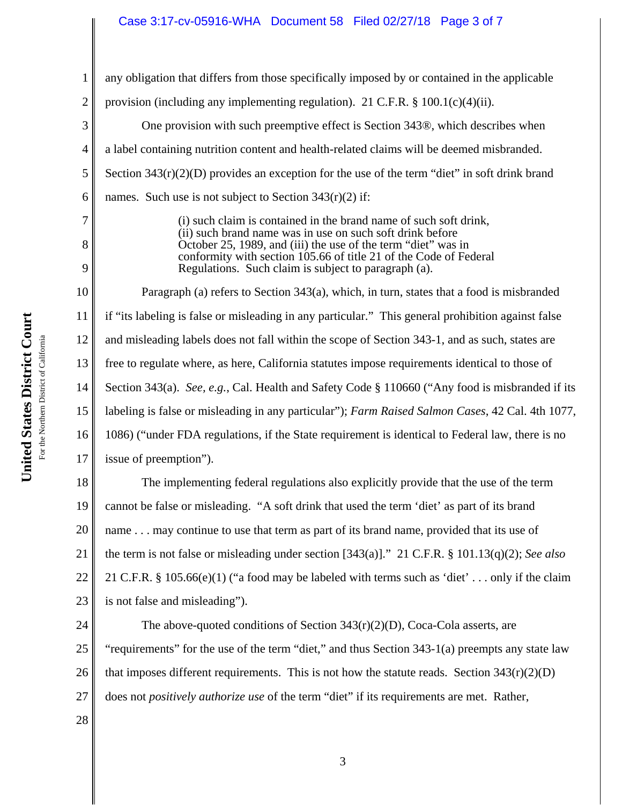# Case 3:17-cv-05916-WHA Document 58 Filed 02/27/18 Page 3 of 7

1 2 3 4 5 6 7 8 9 10 11 12 13 14 15 16 17 18 19 20 21 22 23 24 any obligation that differs from those specifically imposed by or contained in the applicable provision (including any implementing regulation). 21 C.F.R.  $\S$  100.1(c)(4)(ii). One provision with such preemptive effect is Section 343®, which describes when a label containing nutrition content and health-related claims will be deemed misbranded. Section  $343(r)(2)(D)$  provides an exception for the use of the term "diet" in soft drink brand names. Such use is not subject to Section  $343(r)(2)$  if: (i) such claim is contained in the brand name of such soft drink, (ii) such brand name was in use on such soft drink before October 25, 1989, and (iii) the use of the term "diet" was in conformity with section 105.66 of title 21 of the Code of Federal Regulations. Such claim is subject to paragraph (a). Paragraph (a) refers to Section 343(a), which, in turn, states that a food is misbranded if "its labeling is false or misleading in any particular." This general prohibition against false and misleading labels does not fall within the scope of Section 343-1, and as such, states are free to regulate where, as here, California statutes impose requirements identical to those of Section 343(a). *See, e.g.*, Cal. Health and Safety Code § 110660 ("Any food is misbranded if its labeling is false or misleading in any particular"); *Farm Raised Salmon Cases*, 42 Cal. 4th 1077, 1086) ("under FDA regulations, if the State requirement is identical to Federal law, there is no issue of preemption"). The implementing federal regulations also explicitly provide that the use of the term cannot be false or misleading. "A soft drink that used the term 'diet' as part of its brand name . . . may continue to use that term as part of its brand name, provided that its use of the term is not false or misleading under section [343(a)]." 21 C.F.R. § 101.13(q)(2); *See also* 21 C.F.R. § 105.66(e)(1) ("a food may be labeled with terms such as 'diet' . . . only if the claim is not false and misleading"). The above-quoted conditions of Section  $343(r)(2)(D)$ , Coca-Cola asserts, are

25 26 27 "requirements" for the use of the term "diet," and thus Section 343-1(a) preempts any state law that imposes different requirements. This is not how the statute reads. Section  $343(r)(2)(D)$ does not *positively authorize use* of the term "diet" if its requirements are met. Rather,

28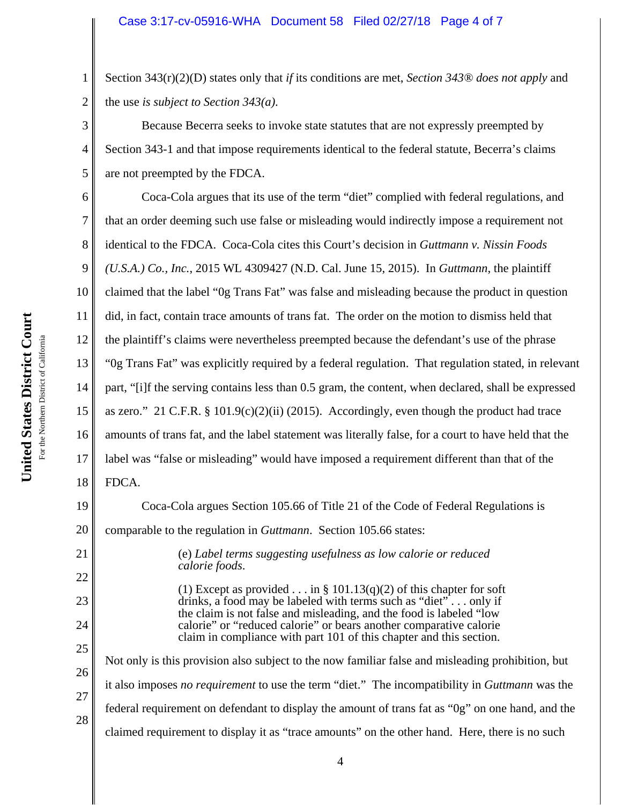# Case 3:17-cv-05916-WHA Document 58 Filed 02/27/18 Page 4 of 7

Section 343(r)(2)(D) states only that *if* its conditions are met, *Section 343® does not apply* and the use *is subject to Section 343(a)*.

Because Becerra seeks to invoke state statutes that are not expressly preempted by Section 343-1 and that impose requirements identical to the federal statute, Becerra's claims are not preempted by the FDCA.

6 7 8 9 10 11 12 13 14 15 16 17 18 Coca-Cola argues that its use of the term "diet" complied with federal regulations, and that an order deeming such use false or misleading would indirectly impose a requirement not identical to the FDCA. Coca-Cola cites this Court's decision in *Guttmann v. Nissin Foods (U.S.A.) Co., Inc.*, 2015 WL 4309427 (N.D. Cal. June 15, 2015). In *Guttmann*, the plaintiff claimed that the label "0g Trans Fat" was false and misleading because the product in question did, in fact, contain trace amounts of trans fat. The order on the motion to dismiss held that the plaintiff's claims were nevertheless preempted because the defendant's use of the phrase "0g Trans Fat" was explicitly required by a federal regulation. That regulation stated, in relevant part, "[i]f the serving contains less than 0.5 gram, the content, when declared, shall be expressed as zero." 21 C.F.R. § 101.9(c)(2)(ii) (2015). Accordingly, even though the product had trace amounts of trans fat, and the label statement was literally false, for a court to have held that the label was "false or misleading" would have imposed a requirement different than that of the FDCA.

19 20 21 22 23 24 25 26 27 28 Coca-Cola argues Section 105.66 of Title 21 of the Code of Federal Regulations is comparable to the regulation in *Guttmann*. Section 105.66 states: (e) *Label terms suggesting usefulness as low calorie or reduced calorie foods*. (1) Except as provided . . . in § 101.13(q)(2) of this chapter for soft drinks, a food may be labeled with terms such as "diet"... only if the claim is not false and misleading, and the food is labeled "low calorie" or "reduced calorie" or bears another comparative calorie claim in compliance with part 101 of this chapter and this section. Not only is this provision also subject to the now familiar false and misleading prohibition, but it also imposes *no requirement* to use the term "diet." The incompatibility in *Guttmann* was the federal requirement on defendant to display the amount of trans fat as "0g" on one hand, and the claimed requirement to display it as "trace amounts" on the other hand. Here, there is no such

1

2

3

4

5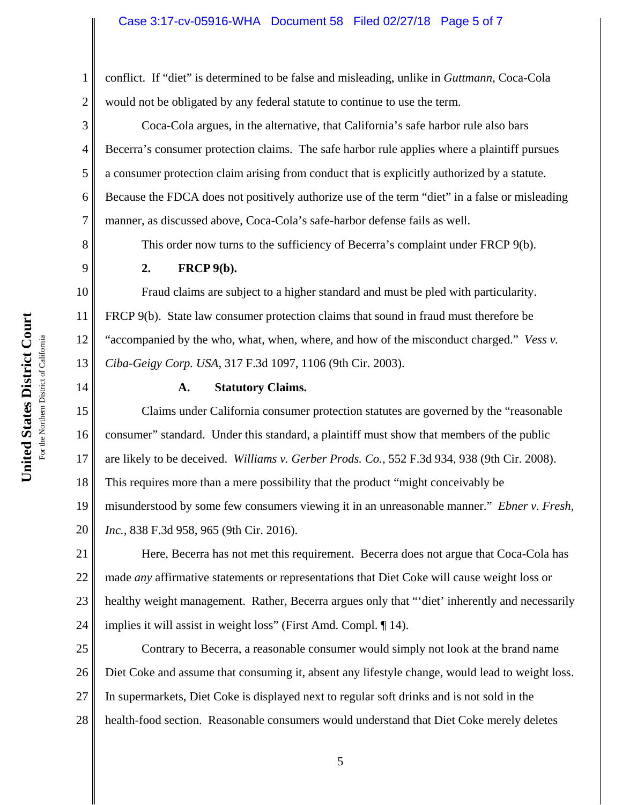### Case 3:17-cv-05916-WHA Document 58 Filed 02/27/18 Page 5 of 7

conflict. If "diet" is determined to be false and misleading, unlike in *Guttmann*, Coca-Cola would not be obligated by any federal statute to continue to use the term.

Coca-Cola argues, in the alternative, that California's safe harbor rule also bars Becerra's consumer protection claims. The safe harbor rule applies where a plaintiff pursues a consumer protection claim arising from conduct that is explicitly authorized by a statute. Because the FDCA does not positively authorize use of the term "diet" in a false or misleading manner, as discussed above, Coca-Cola's safe-harbor defense fails as well.

This order now turns to the sufficiency of Becerra's complaint under FRCP 9(b).

#### **2. FRCP 9(b).**

Fraud claims are subject to a higher standard and must be pled with particularity. FRCP 9(b). State law consumer protection claims that sound in fraud must therefore be "accompanied by the who, what, when, where, and how of the misconduct charged." *Vess v. Ciba-Geigy Corp. USA*, 317 F.3d 1097, 1106 (9th Cir. 2003).

14

1

2

3

4

5

6

7

8

9

10

11

12

13

# **A. Statutory Claims.**

15 16 17 18 19 20 Claims under California consumer protection statutes are governed by the "reasonable consumer" standard. Under this standard, a plaintiff must show that members of the public are likely to be deceived. *Williams v. Gerber Prods. Co.*, 552 F.3d 934, 938 (9th Cir. 2008). This requires more than a mere possibility that the product "might conceivably be misunderstood by some few consumers viewing it in an unreasonable manner." *Ebner v. Fresh, Inc.*, 838 F.3d 958, 965 (9th Cir. 2016).

21 22 23 24 Here, Becerra has not met this requirement. Becerra does not argue that Coca-Cola has made *any* affirmative statements or representations that Diet Coke will cause weight loss or healthy weight management. Rather, Becerra argues only that "'diet' inherently and necessarily implies it will assist in weight loss" (First Amd. Compl. ¶ 14).

25 26 27 28 Contrary to Becerra, a reasonable consumer would simply not look at the brand name Diet Coke and assume that consuming it, absent any lifestyle change, would lead to weight loss. In supermarkets, Diet Coke is displayed next to regular soft drinks and is not sold in the health-food section. Reasonable consumers would understand that Diet Coke merely deletes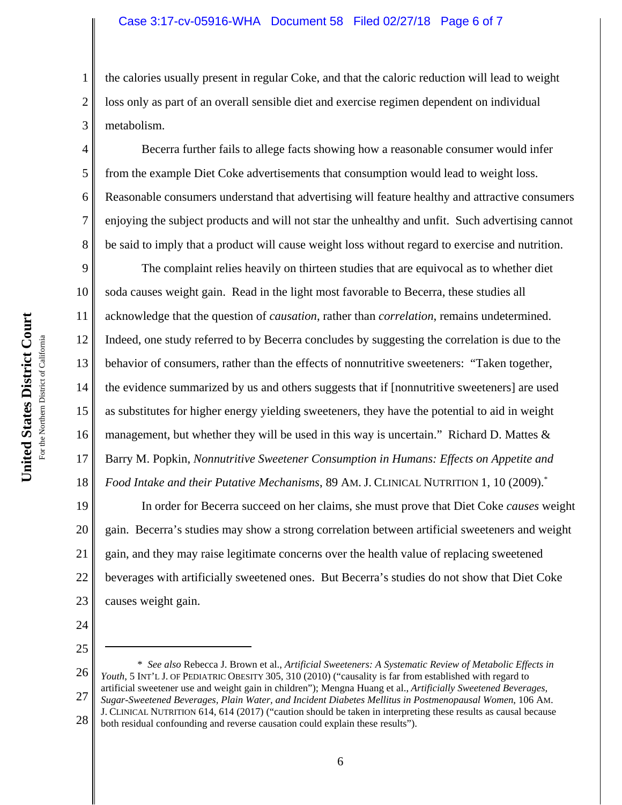### Case 3:17-cv-05916-WHA Document 58 Filed 02/27/18 Page 6 of 7

the calories usually present in regular Coke, and that the caloric reduction will lead to weight loss only as part of an overall sensible diet and exercise regimen dependent on individual metabolism.

Becerra further fails to allege facts showing how a reasonable consumer would infer from the example Diet Coke advertisements that consumption would lead to weight loss. Reasonable consumers understand that advertising will feature healthy and attractive consumers enjoying the subject products and will not star the unhealthy and unfit. Such advertising cannot be said to imply that a product will cause weight loss without regard to exercise and nutrition.

9 10 11 12 13 14 15 16 17 18 The complaint relies heavily on thirteen studies that are equivocal as to whether diet soda causes weight gain. Read in the light most favorable to Becerra, these studies all acknowledge that the question of *causation*, rather than *correlation*, remains undetermined. Indeed, one study referred to by Becerra concludes by suggesting the correlation is due to the behavior of consumers, rather than the effects of nonnutritive sweeteners: "Taken together, the evidence summarized by us and others suggests that if [nonnutritive sweeteners] are used as substitutes for higher energy yielding sweeteners, they have the potential to aid in weight management, but whether they will be used in this way is uncertain." Richard D. Mattes  $\&$ Barry M. Popkin, *Nonnutritive Sweetener Consumption in Humans: Effects on Appetite and Food Intake and their Putative Mechanisms*, 89 AM. J. CLINICAL NUTRITION 1, 10 (2009).\*

19 20 21 22 23 In order for Becerra succeed on her claims, she must prove that Diet Coke *causes* weight gain. Becerra's studies may show a strong correlation between artificial sweeteners and weight gain, and they may raise legitimate concerns over the health value of replacing sweetened beverages with artificially sweetened ones. But Becerra's studies do not show that Diet Coke causes weight gain.

24

1

2

3

4

5

6

7

8

25

6

<sup>26</sup> 27 28 \* *See also* Rebecca J. Brown et al., *Artificial Sweeteners: A Systematic Review of Metabolic Effects in* Youth, 5 INT'L J. OF PEDIATRIC OBESITY 305, 310 (2010) ("causality is far from established with regard to artificial sweetener use and weight gain in children"); Mengna Huang et al., *Artificially Sweetened Beverages, Sugar-Sweetened Beverages, Plain Water, and Incident Diabetes Mellitus in Postmenopausal Women*, 106 AM. J. CLINICAL NUTRITION 614, 614 (2017) ("caution should be taken in interpreting these results as causal because both residual confounding and reverse causation could explain these results").